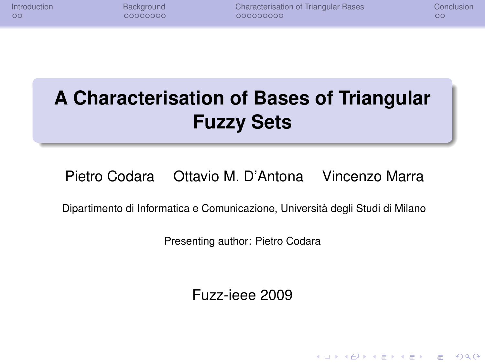| Introduction |  |  |
|--------------|--|--|
| $\circ$      |  |  |

**Internal [Background](#page-10-0) [Characterisation of Triangular Bases](#page-24-0)** [Conclusion](#page-45-0) Conclusion<br>
Cooperation Cooperation Conclusion Cooperation Conclusion Cooperation Cooperation Cooperation Cooperation Cooperation Cooperation Cooperatio

**KOD CONTRACT A BOAR KOD A CO** 

# **A Characterisation of Bases of Triangular Fuzzy Sets**

### Pietro Codara Ottavio M. D'Antona Vincenzo Marra

Dipartimento di Informatica e Comunicazione, Università degli Studi di Milano

Presenting author: Pietro Codara

Fuzz-ieee 2009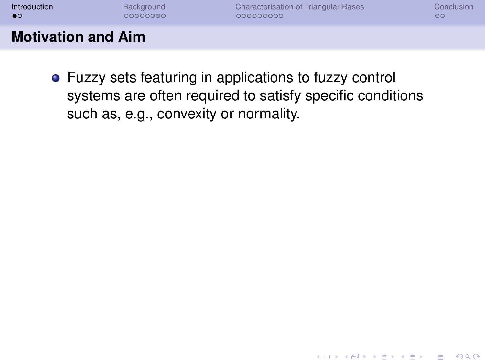| Introduction              | Background | Characterisation of Triangular Bases | Conclusion |
|---------------------------|------------|--------------------------------------|------------|
| $\bullet$                 | 00000000   | 000000000                            | $\circ$    |
| <b>Motivation and Aim</b> |            |                                      |            |

<span id="page-1-0"></span>Fuzzy sets featuring in applications to fuzzy control systems are often required to satisfy specific conditions such as, e.g., convexity or normality.

K ロ X x 4 D X X 원 X X 원 X 원 X 2 D X Q Q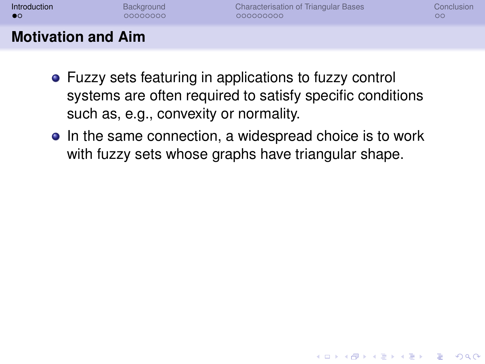| Introduction              | Background | Characterisation of Triangular Bases | Conclusion |
|---------------------------|------------|--------------------------------------|------------|
| $\bullet$                 | 00000000   | 000000000                            | OC.        |
| <b>Motivation and Aim</b> |            |                                      |            |

- Fuzzy sets featuring in applications to fuzzy control systems are often required to satisfy specific conditions such as, e.g., convexity or normality.
- In the same connection, a widespread choice is to work with fuzzy sets whose graphs have triangular shape.

**KOD KARD KED KED BE YOUR**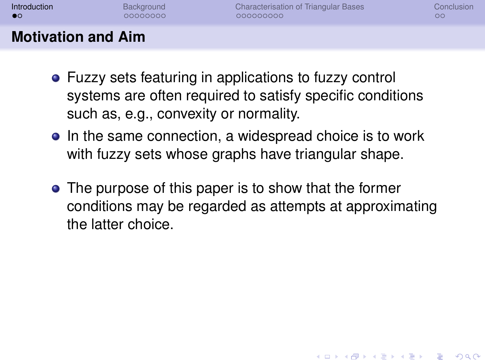| Introduction              | Background | <b>Characterisation of Triangular Bases</b> | Conclusion |
|---------------------------|------------|---------------------------------------------|------------|
| $\bullet$                 | 00000000   | 000000000                                   | oс         |
| <b>Motivation and Aim</b> |            |                                             |            |

- Fuzzy sets featuring in applications to fuzzy control systems are often required to satisfy specific conditions such as, e.g., convexity or normality.
- In the same connection, a widespread choice is to work with fuzzy sets whose graphs have triangular shape.
- The purpose of this paper is to show that the former conditions may be regarded as attempts at approximating the latter choice.

**KORK ERKER ADAM ADA**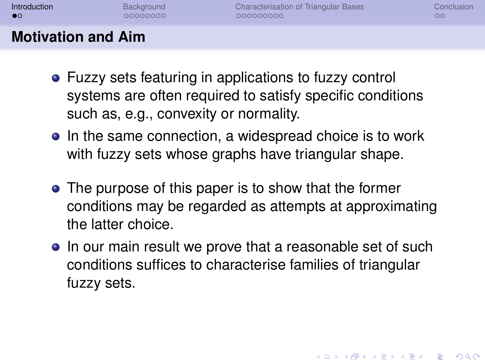| Introduction              | Background | Characterisation of Triangular Bases | Conclusion |
|---------------------------|------------|--------------------------------------|------------|
| $\bullet$                 | 00000000   | 000000000                            | OС         |
| <b>Motivation and Aim</b> |            |                                      |            |

- Fuzzy sets featuring in applications to fuzzy control systems are often required to satisfy specific conditions such as, e.g., convexity or normality.
- In the same connection, a widespread choice is to work with fuzzy sets whose graphs have triangular shape.
- The purpose of this paper is to show that the former conditions may be regarded as attempts at approximating the latter choice.
- In our main result we prove that a reasonable set of such conditions suffices to characterise families of triangular fuzzy sets.

**KORK ERKER ADAM ADA**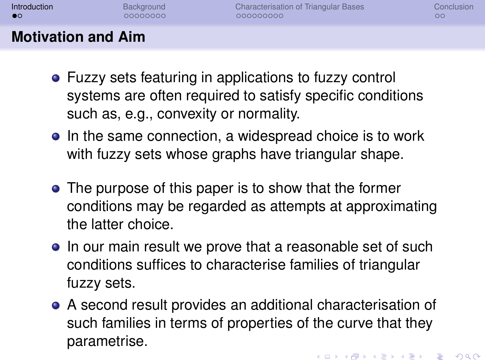| Introduction              | Background | <b>Characterisation of Triangular Bases</b> | Conclusion |
|---------------------------|------------|---------------------------------------------|------------|
| $\bullet$                 | 00000000   | 000000000                                   | OC         |
| <b>Motivation and Aim</b> |            |                                             |            |

- Fuzzy sets featuring in applications to fuzzy control systems are often required to satisfy specific conditions such as, e.g., convexity or normality.
- In the same connection, a widespread choice is to work with fuzzy sets whose graphs have triangular shape.
- The purpose of this paper is to show that the former conditions may be regarded as attempts at approximating the latter choice.
- In our main result we prove that a reasonable set of such conditions suffices to characterise families of triangular fuzzy sets.
- A second result provides an additional characterisation of such families in terms of properties of the curve that they parametrise.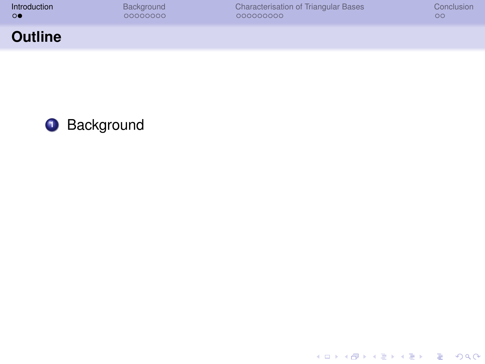| Introduction   | Background | <b>Characterisation of Triangular Bases</b> | Conclusion |
|----------------|------------|---------------------------------------------|------------|
| $\circ\bullet$ | 00000000   | 000000000                                   | $\circ$    |
| <b>Outline</b> |            |                                             |            |



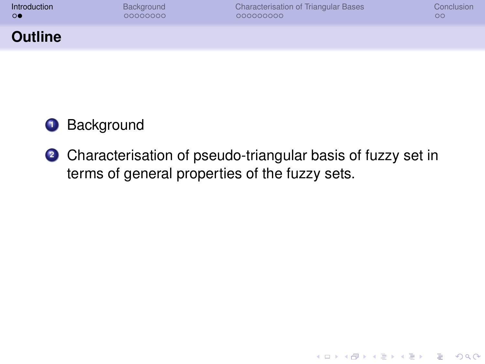| Introduction   | Background | Characterisation of Triangular Bases | Conclusion |
|----------------|------------|--------------------------------------|------------|
| $\circ\bullet$ | 00000000   | 000000000                            | $\circ$    |
| <b>Outline</b> |            |                                      |            |

## **<sup>1</sup>** Background

**<sup>2</sup>** Characterisation of pseudo-triangular basis of fuzzy set in terms of general properties of the fuzzy sets.

K ロ ▶ K @ ▶ K 할 ▶ K 할 ▶ 이 할 → 9 Q Q →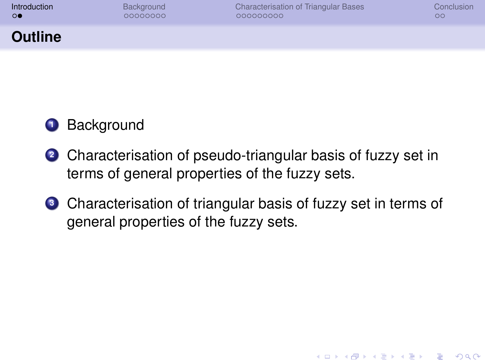| <b>Introduction</b> | Background | <b>Characterisation of Triangular Bases</b> | Conclusion |
|---------------------|------------|---------------------------------------------|------------|
| $\circ$             | 00000000   | 000000000                                   | $\circ$    |
| <b>Outline</b>      |            |                                             |            |

## **<sup>1</sup>** Background

- **<sup>2</sup>** Characterisation of pseudo-triangular basis of fuzzy set in terms of general properties of the fuzzy sets.
- **<sup>3</sup>** Characterisation of triangular basis of fuzzy set in terms of general properties of the fuzzy sets.

**KORKARA KERKER DAGA**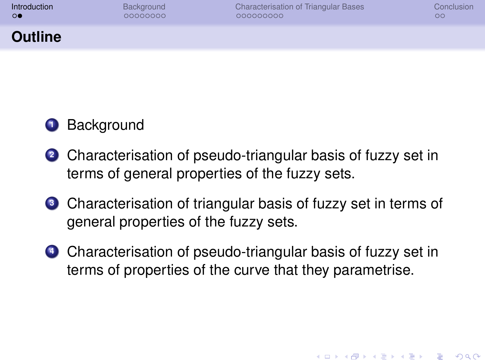| าtroduction |  |
|-------------|--|
| ю           |  |

**KOD KARD KED KED BE YOUR** 

#### **Outline**

## **<sup>1</sup>** Background

- **<sup>2</sup>** Characterisation of pseudo-triangular basis of fuzzy set in terms of general properties of the fuzzy sets.
- **<sup>3</sup>** Characterisation of triangular basis of fuzzy set in terms of general properties of the fuzzy sets.
- **<sup>4</sup>** Characterisation of pseudo-triangular basis of fuzzy set in terms of properties of the curve that they parametrise.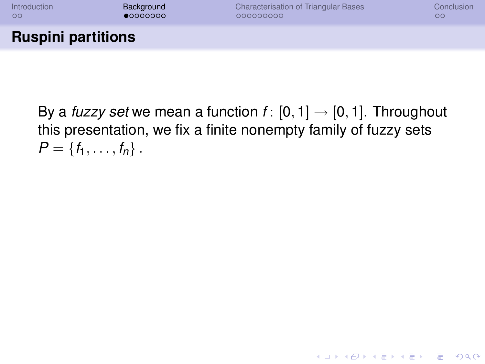

<span id="page-10-0"></span>By a *fuzzy set* we mean a function  $f: [0, 1] \rightarrow [0, 1]$ . Throughout this presentation, we fix a finite nonempty family of fuzzy sets  $P = \{f_1, \ldots, f_n\}$ .

**KORKARYKERKE PORCH**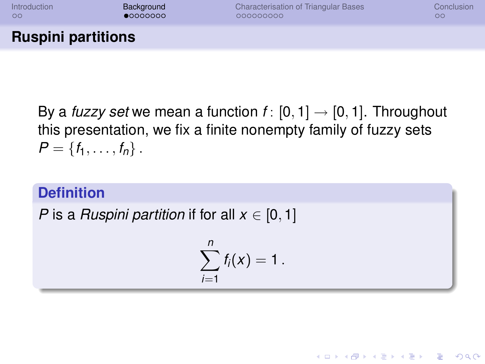

By a *fuzzy set* we mean a function  $f: [0, 1] \rightarrow [0, 1]$ . Throughout this presentation, we fix a finite nonempty family of fuzzy sets  $P = \{f_1, \ldots, f_n\}$ .

#### **Definition**

*P* is a *Ruspini partition* if for all  $x \in [0, 1]$ 

$$
\sum_{i=1}^n f_i(x)=1.
$$

**KOD KARD KED KED BE YOUR**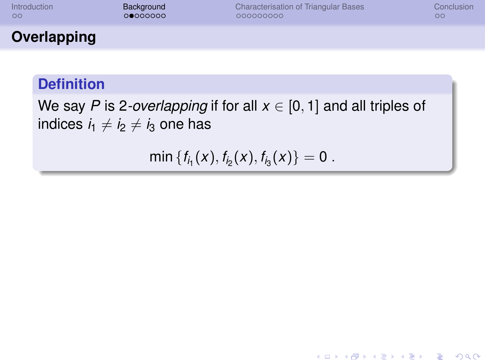| <b>Introduction</b> | Background | <b>Characterisation of Triangular Bases</b> | Conclusion |
|---------------------|------------|---------------------------------------------|------------|
| 00                  | 00000000   | 000000000                                   | oο         |
| Overlapping         |            |                                             |            |

## **Definition**

We say *P* is 2*-overlapping* if for all  $x \in [0, 1]$  and all triples of indices  $i_1 \neq i_2 \neq i_3$  one has

 $min \{f_{i_1}(x), f_{i_2}(x), f_{i_3}(x)\} = 0$ .

**KORK ERKER ADAM ADA**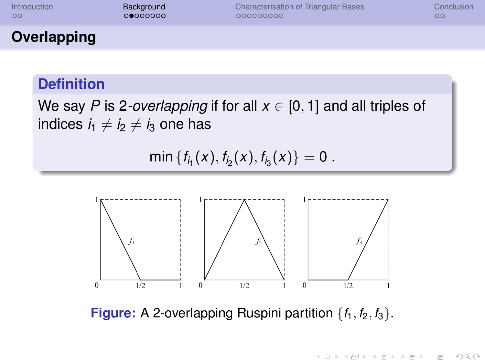| <b>Introduction</b> | Background | <b>Characterisation of Triangular Bases</b> | Conclusion |
|---------------------|------------|---------------------------------------------|------------|
| 00                  | 00000000   | 000000000                                   | oο         |
| Overlapping         |            |                                             |            |

## **Definition**

We say *P* is 2-*overlapping* if for all  $x \in [0, 1]$  and all triples of indices  $i_1 \neq i_2 \neq i_3$  one has

 $min \{f_{i_1}(x), f_{i_2}(x), f_{i_3}(x)\} = 0$ .



**Figure:** A 2-overlapping Ruspini partition  $\{f_1, f_2, f_3\}$ .

**KOD KARD KED KED BE YOUR**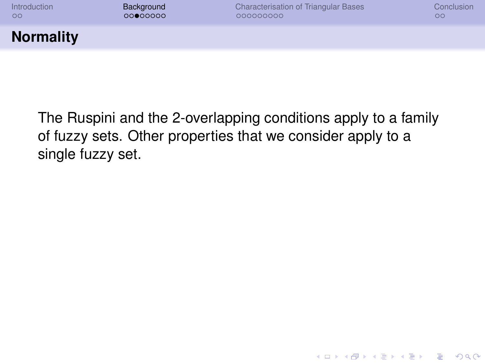| <b>Introduction</b> | Background | <b>Characterisation of Triangular Bases</b> | Conclusion |
|---------------------|------------|---------------------------------------------|------------|
| 00                  | 00000000   | 000000000                                   | $\circ$    |
| <b>Normality</b>    |            |                                             |            |

The Ruspini and the 2-overlapping conditions apply to a family of fuzzy sets. Other properties that we consider apply to a single fuzzy set.

K ロ ▶ K @ ▶ K 할 ▶ K 할 ▶ 이 할 → 9 Q Q →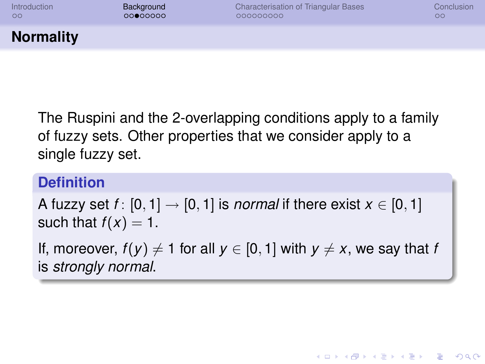| <b>Introduction</b> | Background | Characterisation of Triangular Bases | Conclusion |
|---------------------|------------|--------------------------------------|------------|
| 00                  | 00000000   | 000000000                            | $\circ$    |
| <b>Normality</b>    |            |                                      |            |

The Ruspini and the 2-overlapping conditions apply to a family of fuzzy sets. Other properties that we consider apply to a single fuzzy set.

#### **Definition**

A fuzzy set  $f: [0, 1] \rightarrow [0, 1]$  is *normal* if there exist  $x \in [0, 1]$ such that  $f(x) = 1$ .

If, moreover,  $f(y) \neq 1$  for all  $y \in [0, 1]$  with  $y \neq x$ , we say that *f* is *strongly normal*.

**KOD KARD KED KED BE YOUR**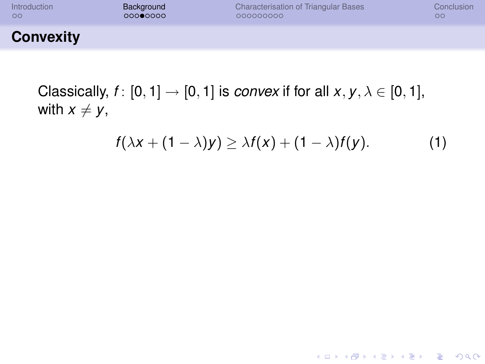| Introduction     | Background | <b>Characterisation of Triangular Bases</b> | Conclusion |
|------------------|------------|---------------------------------------------|------------|
| $\circ$          | 00000000   | 000000000                                   | OΟ         |
| <b>Convexity</b> |            |                                             |            |

Classically,  $f: [0, 1] \rightarrow [0, 1]$  is *convex* if for all  $x, y, \lambda \in [0, 1]$ , with  $x \neq y$ ,

$$
f(\lambda x + (1 - \lambda)y) \geq \lambda f(x) + (1 - \lambda)f(y).
$$
 (1)

**KID X 4 @ X X 暑 X X 暑 X 2 暑 → 2 → 9 Q Q →**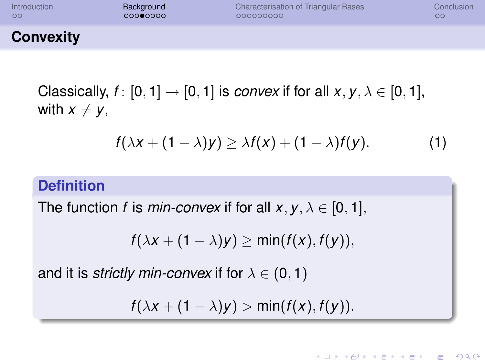| Introduction     | Background | <b>Characterisation of Triangular Bases</b> | Conclusion |
|------------------|------------|---------------------------------------------|------------|
| $\circ$          | 00000000   | 000000000                                   | $\circ$    |
| <b>Convexity</b> |            |                                             |            |

Classically,  $f: [0, 1] \rightarrow [0, 1]$  is *convex* if for all  $x, y, \lambda \in [0, 1]$ , with  $x \neq y$ ,

$$
f(\lambda x + (1 - \lambda)y) \geq \lambda f(x) + (1 - \lambda)f(y).
$$
 (1)

**KORK STRAIN A STRAIN A STRAIN** 

### **Definition**

The function *f* is *min-convex* if for all  $x, y, \lambda \in [0, 1]$ ,

$$
f(\lambda x + (1 - \lambda)y) \geq \min(f(x), f(y)),
$$

and it is *strictly min-convex* if for  $\lambda \in (0, 1)$ 

$$
f(\lambda x + (1 - \lambda)y) > \min(f(x), f(y)).
$$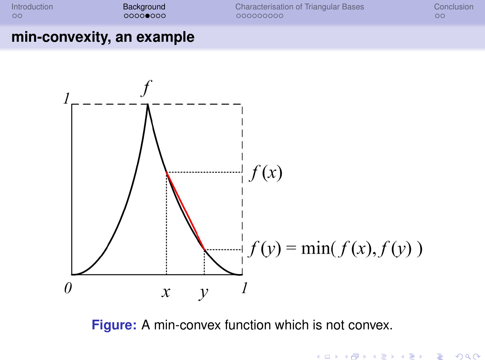

K ロ ▶ K @ ▶ K 할 ▶ K 할 ▶ 이 할 → 9 Q Q →

#### **min-convexity, an example**



**Figure:** A min-convex function which is not convex.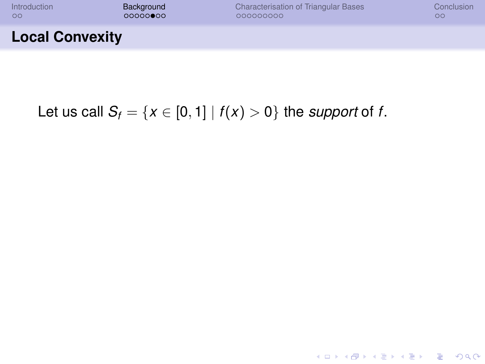| <b>Introduction</b>    | Background | <b>Characterisation of Triangular Bases</b> | Conclusion |
|------------------------|------------|---------------------------------------------|------------|
| 00                     | 000000000  | 000000000                                   | oο         |
| <b>Local Convexity</b> |            |                                             |            |

**Kロトメ部トメミトメミト ミニのQC** 

## Let us call  $S_f = \{x \in [0, 1] \mid f(x) > 0\}$  the *support* of *f*.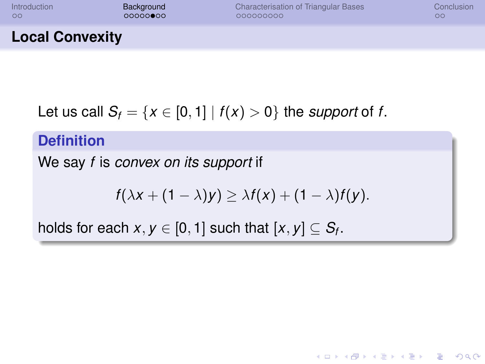| Introduction           | Background | Characterisation of Triangular Bases | Conclusion |
|------------------------|------------|--------------------------------------|------------|
| $\circ$                | 000000000  | 000000000                            | $\circ$    |
| <b>Local Convexity</b> |            |                                      |            |

Let us call  $S_f = \{x \in [0, 1] \mid f(x) > 0\}$  the *support* of *f*.

#### **Definition**

We say *f* is *convex on its support* if

$$
f(\lambda x + (1 - \lambda)y) \geq \lambda f(x) + (1 - \lambda)f(y).
$$

**KORK STRAIN A STRAIN A STRAIN** 

holds for each  $x, y \in [0, 1]$  such that  $[x, y] \subseteq S_f$ .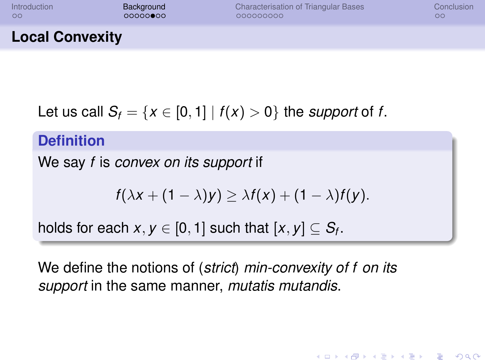| Introduction           | Background | <b>Characterisation of Triangular Bases</b> | Conclusion |
|------------------------|------------|---------------------------------------------|------------|
| $\circ$                | 000000000  | 000000000                                   | OΟ         |
| <b>Local Convexity</b> |            |                                             |            |

Let us call  $S_f = \{x \in [0, 1] \mid f(x) > 0\}$  the *support* of *f*.

**Definition**

We say *f* is *convex on its support* if

$$
f(\lambda x + (1 - \lambda)y) \geq \lambda f(x) + (1 - \lambda)f(y).
$$

**KORK ERKER ADAM ADA** 

holds for each  $x, y \in [0, 1]$  such that  $[x, y] \subseteq S_f$ .

We define the notions of (*strict*) *min-convexity of f on its support* in the same manner, *mutatis mutandis*.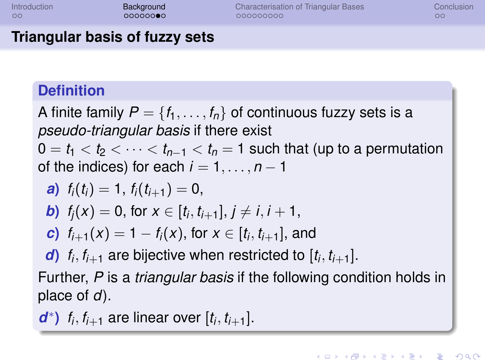| Introduction |  |
|--------------|--|
| $\circ$      |  |

## **Triangular basis of fuzzy sets**

## **Definition**

A finite family  $P = \{f_1, \ldots, f_n\}$  of continuous fuzzy sets is a *pseudo-triangular basis* if there exist  $0 = t_1 < t_2 < \cdots < t_{n-1} < t_n = 1$  such that (up to a permutation of the indices) for each  $i = 1, \ldots, n - 1$ 

\n- **a)** 
$$
f_i(t_i) = 1
$$
,  $f_i(t_{i+1}) = 0$ ,
\n- **b)**  $f_j(x) = 0$ , for  $x \in [t_i, t_{i+1}], j \neq i, i+1$ ,
\n- **c)**  $f_{i+1}(x) = 1 - f_i(x)$ , for  $x \in [t_i, t_{i+1}]$ , and
\n- **d)**  $f_i, f_{i+1}$  are bijective when restricted to  $[t_i, t_{i+1}]$ .
\n

Further, *P* is a *triangular basis* if the following condition holds in place of *d*).

*d*<sup>\*</sup>) *f<sub>i</sub>*, *f<sub>i+1</sub>* are linear over  $[t_i, t_{i+1}]$ .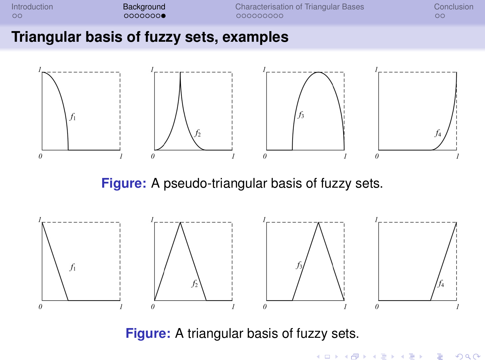

#### **Triangular basis of fuzzy sets, examples**



**Figure:** A pseudo-triangular basis of fuzzy sets.



**Figure:** A triangular basis of fuzzy sets.

**KOD KARD KED KED BE YOUR**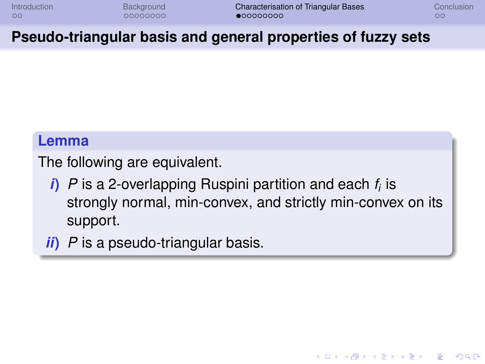**KOD KARD KED KED BE YOUR** 

### **Pseudo-triangular basis and general properties of fuzzy sets**

#### **Lemma**

The following are equivalent.

- *i***)** *P* is a 2-overlapping Ruspini partition and each *f<sup>i</sup>* is strongly normal, min-convex, and strictly min-convex on its support.
- <span id="page-24-0"></span>*ii***)** *P* is a pseudo-triangular basis.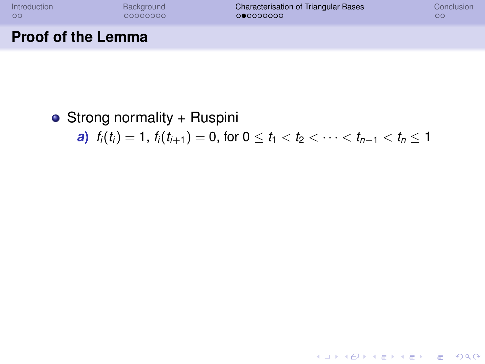**Proof of the Lemma**

[Introduction](#page-1-0) [Background](#page-10-0) [Characterisation of Triangular Bases](#page-24-0) [Conclusion](#page-45-0)

**KORKARYKERKE PORCH** 

## • Strong normality + Ruspini

*a***)**  $f_i(t_i) = 1$ ,  $f_i(t_{i+1}) = 0$ , for  $0 \le t_1 < t_2 < \cdots < t_{n-1} < t_n \le 1$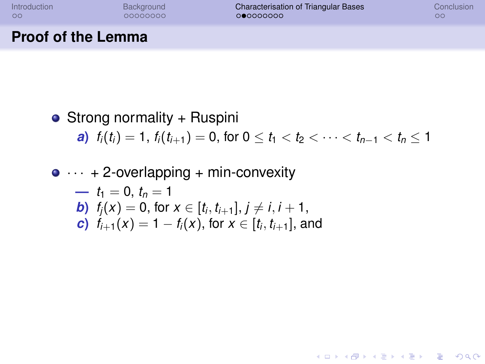**KORKARYKERKE PORCH** 

## **Proof of the Lemma**

• Strong normality + Ruspini *a***)**  $f_i(t_i) = 1$ ,  $f_i(t_{i+1}) = 0$ , for  $0 \le t_1 < t_2 < \cdots < t_{n-1} < t_n \le 1$ 

\n- $$
\bullet \cdots + 2
$$
-overlapping + min-convexity
\n- $t_1 = 0, t_n = 1$
\n- $t_1 = 0, t_0 = 1$
\n- $t_1(x) = 0$ , for  $x \in [t_i, t_{i+1}], j \neq i, i+1$
\n- $t_2 = 1 - f_i(x)$ , for  $x \in [t_i, t_{i+1}]$ , and
\n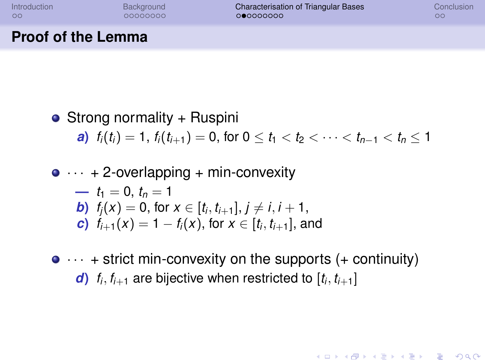**KORK STRAIN A STRAIN A STRAIN** 

## **Proof of the Lemma**

• Strong normality + Ruspini *a***)**  $f_i(t_i) = 1$ ,  $f_i(t_{i+1}) = 0$ , for  $0 \le t_1 < t_2 < \cdots < t_{n-1} < t_n \le 1$  $\cdot$  2 overlapping  $\cdot$  min-convexity  $\bullet$  $\mu_1 = 0, t_n = 1$ 

$$
P(t) = t_1 = 0, t_n = 1
$$
  
\n**b)**  $f_j(x) = 0$ , for  $x \in [t_i, t_{i+1}], j \neq i, i + 1$ ,  
\n**c)**  $f_{j+1}(x) = 1 - f_j(x)$ , for  $x \in [t_i, t_{i+1}]$ , and

 $\bullet \cdots$  + strict min-convexity on the supports (+ continuity) *d*)  $f_i, f_{i+1}$  are bijective when restricted to  $[t_i, t_{i+1}]$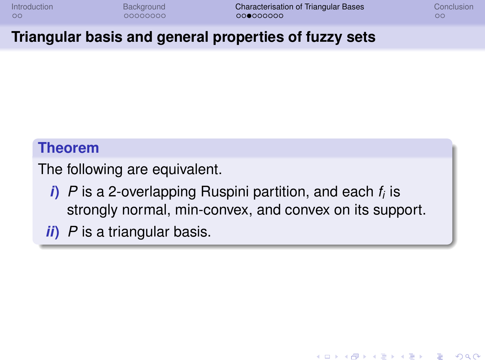**KOD KARD KED KED BE YOUR** 

### **Triangular basis and general properties of fuzzy sets**

#### **Theorem**

The following are equivalent.

- *i***)** *P* is a 2-overlapping Ruspini partition, and each *f<sup>i</sup>* is strongly normal, min-convex, and convex on its support.
- *ii***)** *P* is a triangular basis.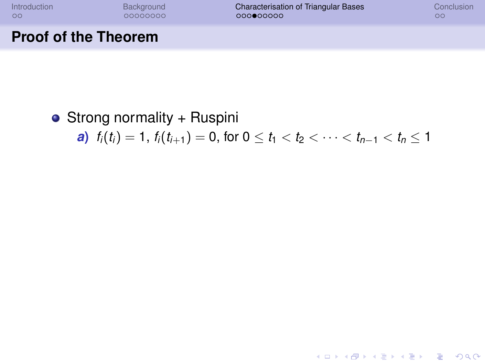**Proof of the Theorem**

[Introduction](#page-1-0) [Background](#page-10-0) [Characterisation of Triangular Bases](#page-24-0) [Conclusion](#page-45-0)

**KORKARYKERKE PORCH** 

## • Strong normality + Ruspini

*a***)**  $f_i(t_i) = 1$ ,  $f_i(t_{i+1}) = 0$ , for  $0 \le t_1 < t_2 < \cdots < t_{n-1} < t_n \le 1$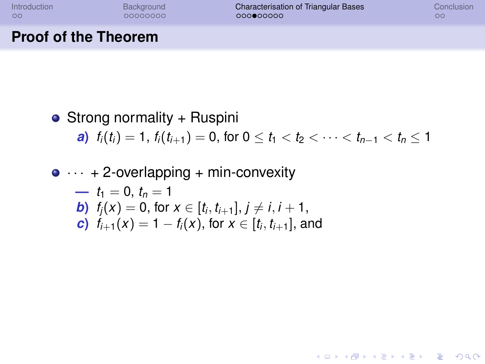**KOD KARD KED KED BE YOUR** 

## **Proof of the Theorem**

#### • Strong normality + Ruspini *a***)**  $f_i(t_i) = 1$ ,  $f_i(t_{i+1}) = 0$ , for  $0 \le t_1 \le t_2 \le \cdots \le t_{n-1} \le t_n \le 1$

## $\bullet \cdots$  + 2-overlapping + min-convexity  $\mu_1 = 0, t_n = 1$ *<i>b***)**  $f_j(x) = 0$ , for  $x \in [t_i, t_{i+1}], j \neq i, i+1$ , *c***)**  $f_{i+1}(x) = 1 - f_i(x)$ , for  $x \in [t_i, t_{i+1}]$ , and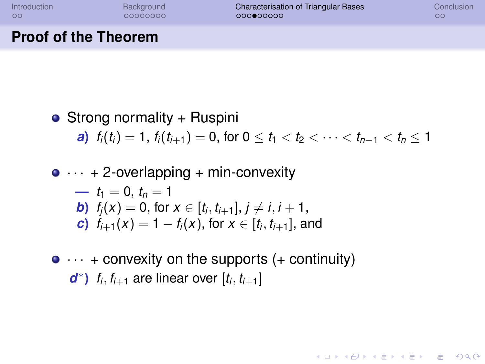**KORK STRAIN A STRAIN A STRAIN** 

## **Proof of the Theorem**

• Strong normality + Ruspini *a***)**  $f_i(t_i) = 1$ ,  $f_i(t_{i+1}) = 0$ , for  $0 \le t_1 \le t_2 \le \cdots \le t_{n-1} \le t_n \le 1$  $\bullet \cdots$  + 2-overlapping + min-convexity

$$
t_1 = 0, t_n = 1
$$
  
\n**b)**  $f_j(x) = 0$ , for  $x \in [t_i, t_{i+1}], j \neq i, i + 1$ ,  
\n**c)**  $f_{j+1}(x) = 1 - f_j(x)$ , for  $x \in [t_i, t_{i+1}]$ , and

 $\bullet \cdots$  + convexity on the supports (+ continuity) *d*<sup>\*</sup>) *f<sub>i</sub>*, *f*<sub>*i*+1</sub> are linear over  $[t_i, t_{i+1}]$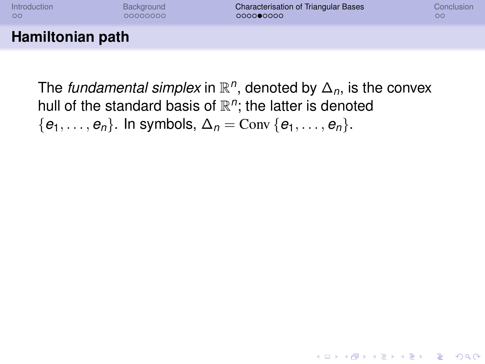| Introduction     | Background | <b>Characterisation of Triangular Bases</b> | Conclusion |
|------------------|------------|---------------------------------------------|------------|
| $\circ$          | 00000000   | 000000000                                   | OΟ         |
| Hamiltonian path |            |                                             |            |

The *fundamental simplex* in  $\mathbb{R}^n$ , denoted by  $\Delta_n$ , is the convex hull of the standard basis of  $\mathbb{R}^n$ ; the latter is denoted  $\{e_1, \ldots, e_n\}$ . In symbols,  $\Delta_n = \text{Conv}\{e_1, \ldots, e_n\}$ .

**KORKARA KERKER DAGA**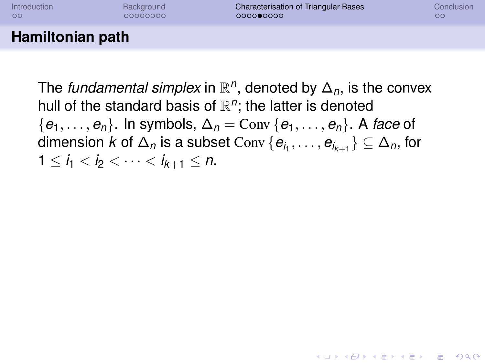| <b>Introduction</b> | Background | <b>Characterisation of Triangular Bases</b> | Conclusion |
|---------------------|------------|---------------------------------------------|------------|
| $\circ$             | 00000000   | 000000000                                   | OС         |
| Hamiltonian path    |            |                                             |            |

The *fundamental simplex* in  $\mathbb{R}^n$ , denoted by  $\Delta_n$ , is the convex hull of the standard basis of  $\mathbb{R}^n$ ; the latter is denoted  ${e_1, \ldots, e_n}$ . In symbols,  $\Delta_n = \text{Conv} \{e_1, \ldots, e_n\}$ . A *face* of  $\dim$ ension  $k$  of  $\Delta_n$  is a subset  $\mathrm{Conv}\left\{\boldsymbol{e}_{i_1},\ldots,\boldsymbol{e}_{i_{k+1}}\right\}\subseteq\Delta_n,$  for  $1 \le i_1 \le i_2 \le \cdots \le i_{k+1} \le n$ .

**KOD KARD KED KED BE YOUR**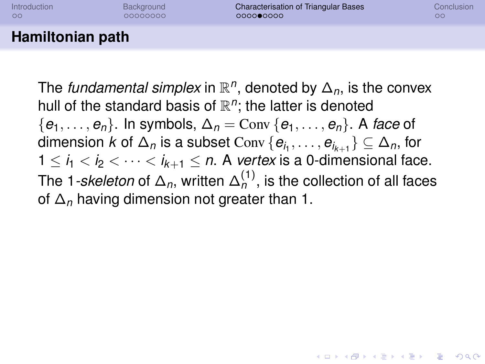| Introduction     | Background | <b>Characterisation of Triangular Bases</b> | Conclusion |
|------------------|------------|---------------------------------------------|------------|
| $\circ$          | 00000000   | 000000000                                   | oo         |
| Hamiltonian path |            |                                             |            |

The *fundamental simplex* in  $\mathbb{R}^n$ , denoted by  $\Delta_n$ , is the convex hull of the standard basis of  $\mathbb{R}^n$ ; the latter is denoted  ${e_1, \ldots, e_n}$ . In symbols,  $\Delta_n = \text{Conv} \{e_1, \ldots, e_n\}$ . A *face* of  $\dim$ ension  $k$  of  $\Delta_n$  is a subset  $\mathrm{Conv}\left\{\boldsymbol{e}_{i_1},\ldots,\boldsymbol{e}_{i_{k+1}}\right\}\subseteq\Delta_n,$  for  $1 \leq i_1 < i_2 < \cdots < i_{k+1} \leq n$ . A *vertex* is a 0-dimensional face. The 1*-skeleton* of  $\Delta_n$ , written  $\Delta_n^{(1)}$ , is the collection of all faces of ∆*<sup>n</sup>* having dimension not greater than 1.

**KORKAR KERKER E VOOR**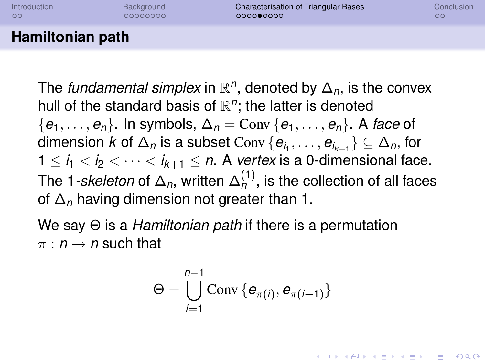| <b>Introduction</b> | Background | <b>Characterisation of Triangular Bases</b> | Conclusion |
|---------------------|------------|---------------------------------------------|------------|
| $\circ$             | 00000000   | 000000000                                   | OΟ         |
| Hamiltonian path    |            |                                             |            |

The *fundamental simplex* in  $\mathbb{R}^n$ , denoted by  $\Delta_n$ , is the convex hull of the standard basis of  $\mathbb{R}^n$ ; the latter is denoted  ${e_1, \ldots, e_n}$ . In symbols,  $\Delta_n = \text{Conv} \{e_1, \ldots, e_n\}$ . A *face* of  $\dim$ ension  $k$  of  $\Delta_n$  is a subset  $\mathrm{Conv}\left\{\boldsymbol{e}_{i_1},\ldots,\boldsymbol{e}_{i_{k+1}}\right\}\subseteq\Delta_n,$  for  $1 \leq i_1 < i_2 < \cdots < i_{k+1} \leq n$ . A *vertex* is a 0-dimensional face. The 1*-skeleton* of  $\Delta_n$ , written  $\Delta_n^{(1)}$ , is the collection of all faces of ∆*<sup>n</sup>* having dimension not greater than 1.

We say Θ is a *Hamiltonian path* if there is a permutation  $\pi$  :  $n \rightarrow n$  such that

$$
\Theta = \bigcup_{i=1}^{n-1} \text{Conv} \left\{ \boldsymbol{e}_{\pi(i)}, \boldsymbol{e}_{\pi(i+1)} \right\}
$$

**KORKAR KERKER E VOOR**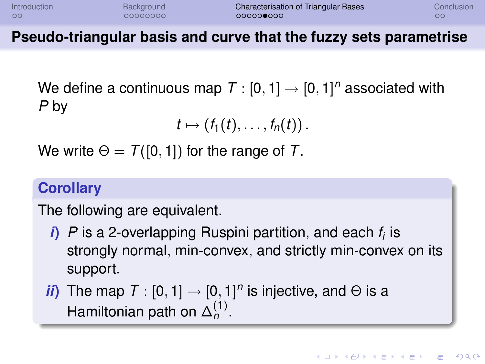| <b>Introduction</b> | Background | <b>Characterisation of Triangular Bases</b> | Conclusion |
|---------------------|------------|---------------------------------------------|------------|
| $\circ$             | 00000000   | 000000000                                   |            |

**Pseudo-triangular basis and curve that the fuzzy sets parametrise**

We define a continuous map  $\mathcal{T}:[0,1]\rightarrow[0,1]^n$  associated with *P* by

$$
t\mapsto (f_1(t),\ldots,f_n(t))\,.
$$

We write  $\Theta = \mathcal{T}([0, 1])$  for the range of T.

#### **Corollary**

The following are equivalent.

*i***)** *P* is a 2-overlapping Ruspini partition, and each *f<sup>i</sup>* is strongly normal, min-convex, and strictly min-convex on its support.

*ii*) The map  $T : [0, 1] \rightarrow [0, 1]^n$  is injective, and  $\Theta$  is a Hamiltonian path on  $\Delta_n^{(1)}$ .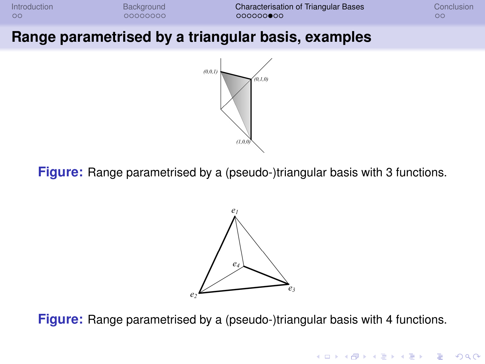

#### **Range parametrised by a triangular basis, examples**



**Figure:** Range parametrised by a (pseudo-)triangular basis with 3 functions.



**Figure:** Range parametrised by a (pseudo-)triangular basis with 4 functions.

**KORKARYKERKE PORCH**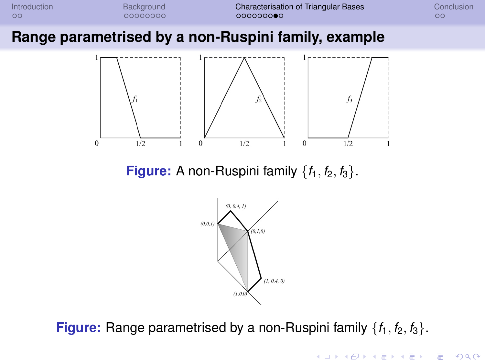

**Figure:** Range parametrised by a non-Ruspini family  $\{f_1, f_2, f_3\}$ .

**KORKARYKERKE PORCH**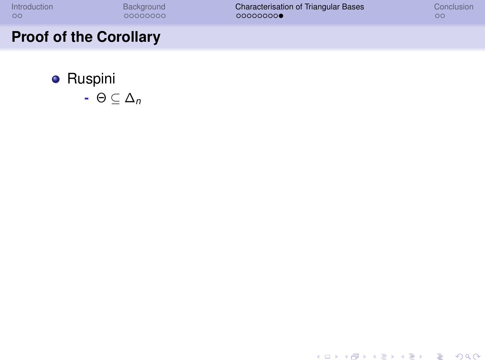- **•** Ruspini
	- **-** Θ ⊆ ∆*<sup>n</sup>*

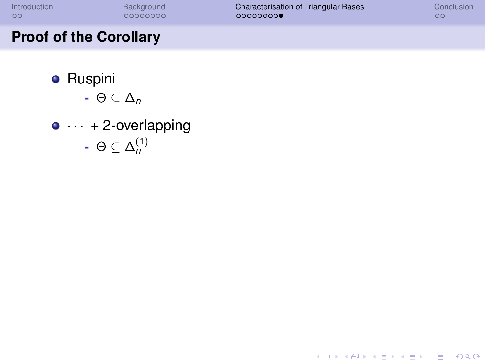K ロ ▶ K @ ▶ K 할 ▶ K 할 ▶ 이 할 → 9 Q Q →

- **•** Ruspini
	- **-** Θ ⊆ ∆*<sup>n</sup>*
- $\bullet \cdots + 2$ -overlapping **-** Θ ⊆ ∆ (1) *n*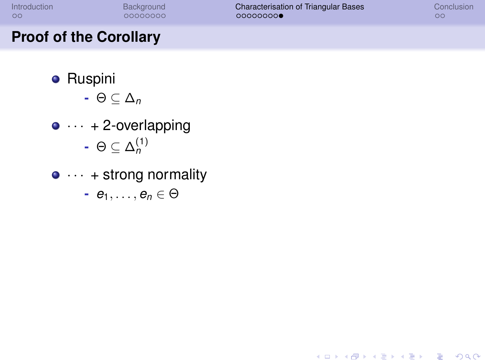## **Proof of the Corollary**

- **•** Ruspini
	- **-** Θ ⊆ ∆*<sup>n</sup>*
- $\bullet \cdots + 2$ -overlapping **-** Θ ⊆ ∆ (1) *n*
- $\bullet \cdots$  + strong normality

 $\vdash e_1, \ldots, e_n \in \Theta$ 

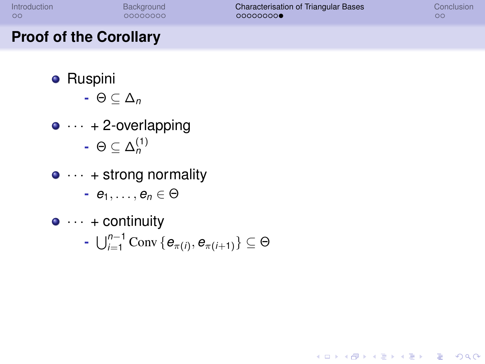**KORKARYKERKE PORCH** 

- **•** Ruspini
	- **-** Θ ⊆ ∆*<sup>n</sup>*
- $\bullet \cdots + 2$ -overlapping **-** Θ ⊆ ∆ (1) *n*
- $\bullet \cdots$  + strong normality
	- **-** *e*1, . . . , *e<sup>n</sup>* ∈ Θ
- $\bullet \cdots \bullet$  continuity
	- **-**  $\bigcup_{i=1}^{n-1}$  Conv {  $e_{\pi(i)}, e_{\pi(i+1)}$ } ⊆ Θ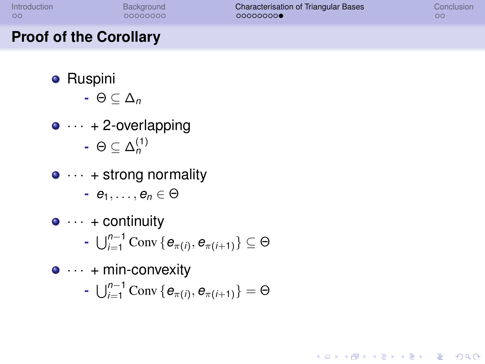**KOD KARD KED KED BE YOUR** 

- **•** Ruspini
	- **-** Θ ⊆ ∆*<sup>n</sup>*
- $\bullet \cdots + 2$ -overlapping **-** Θ ⊆ ∆ (1) *n*
- $\bullet \cdots$  + strong normality
	- **-** *e*1, . . . , *e<sup>n</sup>* ∈ Θ
- $\bullet \cdots \bullet$  continuity
	- **-**  $\bigcup_{i=1}^{n-1}$  Conv {  $e_{\pi(i)}, e_{\pi(i+1)}$ } ⊆ Θ
- $\bullet \cdots$  + min-convexity
	- **-**  $\bigcup_{i=1}^{n-1}$  Conv {  $e_{\pi(i)}, e_{\pi(i+1)}$ } = Θ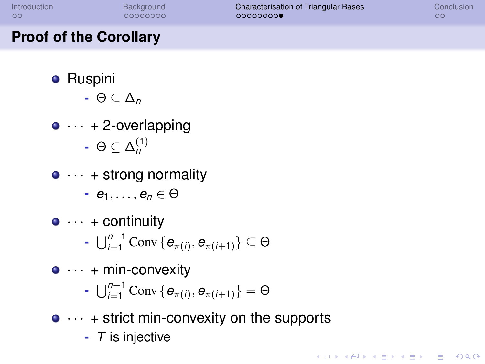**KORK ERKER ADAM ADA** 

- **•** Ruspini
	- **-** Θ ⊆ ∆*<sup>n</sup>*
- $\bullet \cdots + 2$ -overlapping **-** Θ ⊆ ∆ (1) *n*
- $\bullet \cdots$  + strong normality
	- **-** *e*1, . . . , *e<sup>n</sup>* ∈ Θ
- $\bullet \cdots \bullet$  continuity
	- **-**  $\bigcup_{i=1}^{n-1}$  Conv {  $e_{\pi(i)}, e_{\pi(i+1)}$ } ⊆ Θ
- $\bullet \cdots$  + min-convexity
	- **-**  $\bigcup_{i=1}^{n-1}$  Conv {  $e_{\pi(i)}, e_{\pi(i+1)}$ } = Θ
- $\bullet \cdots$  + strict min-convexity on the supports
	- **-** *T* is injective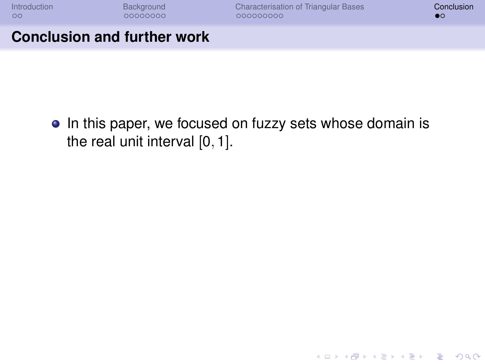K ロ > K 個 > K 差 > K 差 > → 差 → の Q Q →

#### **Conclusion and further work**

<span id="page-45-0"></span>• In this paper, we focused on fuzzy sets whose domain is the real unit interval [0, 1].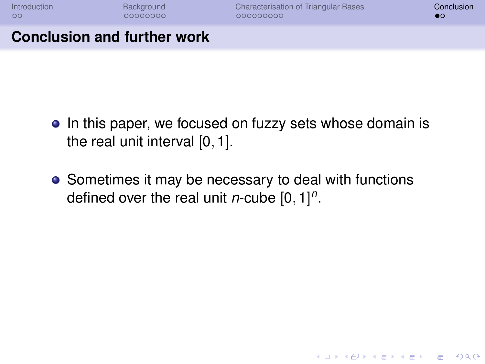**KOD KARD KED KED BE YOUR** 

#### **Conclusion and further work**

- In this paper, we focused on fuzzy sets whose domain is the real unit interval [0, 1].
- Sometimes it may be necessary to deal with functions defined over the real unit *n*-cube [0, 1] *n* .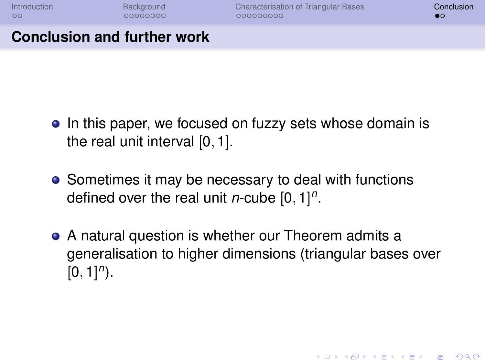**KORK ERKER ADAM ADA** 

### **Conclusion and further work**

- In this paper, we focused on fuzzy sets whose domain is the real unit interval [0, 1].
- Sometimes it may be necessary to deal with functions defined over the real unit *n*-cube [0, 1] *n* .
- A natural question is whether our Theorem admits a generalisation to higher dimensions (triangular bases over  $[0, 1]$ <sup>n</sup>).